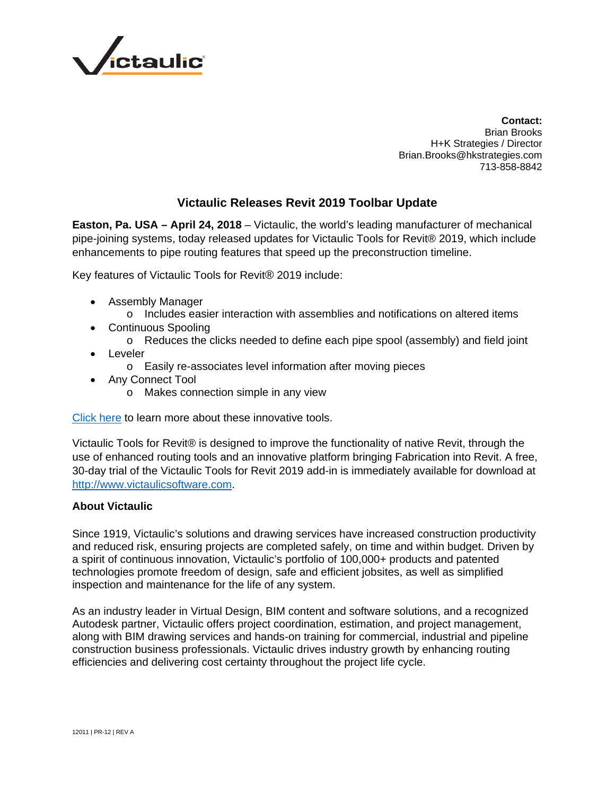

**Contact:** Brian Brooks H+K Strategies / Director Brian.Brooks@hkstrategies.com 713-858-8842

## **Victaulic Releases Revit 2019 Toolbar Update**

**Easton, Pa. USA – April 24, 2018** – Victaulic, the world's leading manufacturer of mechanical pipe-joining systems, today released updates for Victaulic Tools for Revit® 2019, which include enhancements to pipe routing features that speed up the preconstruction timeline.

Key features of Victaulic Tools for Revit® 2019 include:

- Assembly Manager
	- o Includes easier interaction with assemblies and notifications on altered items
- Continuous Spooling
	- o Reduces the clicks needed to define each pipe spool (assembly) and field joint
- Leveler
	- o Easily re-associates level information after moving pieces
- Any Connect Tool
	- o Makes connection simple in any view

Click here to learn more about these innovative tools.

Victaulic Tools for Revit® is designed to improve the functionality of native Revit, through the use of enhanced routing tools and an innovative platform bringing Fabrication into Revit. A free, 30-day trial of the Victaulic Tools for Revit 2019 add-in is immediately available for download at http://www.victaulicsoftware.com.

## **About Victaulic**

Since 1919, Victaulic's solutions and drawing services have increased construction productivity and reduced risk, ensuring projects are completed safely, on time and within budget. Driven by a spirit of continuous innovation, Victaulic's portfolio of 100,000+ products and patented technologies promote freedom of design, safe and efficient jobsites, as well as simplified inspection and maintenance for the life of any system.

As an industry leader in Virtual Design, BIM content and software solutions, and a recognized Autodesk partner, Victaulic offers project coordination, estimation, and project management, along with BIM drawing services and hands-on training for commercial, industrial and pipeline construction business professionals. Victaulic drives industry growth by enhancing routing efficiencies and delivering cost certainty throughout the project life cycle.